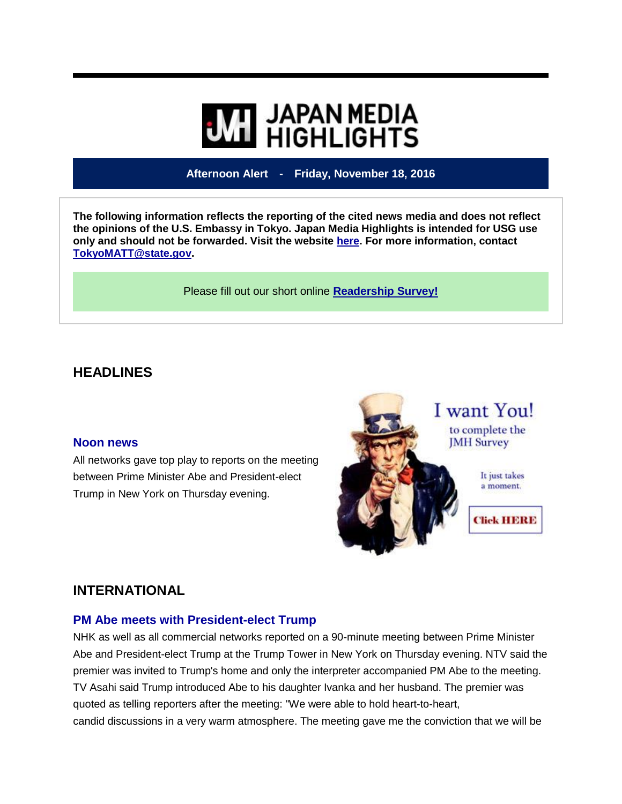# **WI HIGHLIGHTS**

# **Afternoon Alert - Friday, November 18, 2016**

**The following information reflects the reporting of the cited news media and does not reflect the opinions of the U.S. Embassy in Tokyo. Japan Media Highlights is intended for USG use only and should not be forwarded. Visit the website [here.](https://jmh.usembassy.gov/) For more information, contact [TokyoMATT@state.gov.](mailto:TokyoMATT@state.gov)**

Please fill out our short online **[Readership Survey!](https://jmh.usembassy.gov/readership-survey/)**

# **HEADLINES**

#### **Noon news**

All networks gave top play to reports on the meeting between Prime Minister Abe and President-elect Trump in New York on Thursday evening.



# **INTERNATIONAL**

## **PM Abe meets with President-elect Trump**

NHK as well as all commercial networks reported on a 90-minute meeting between Prime Minister Abe and President-elect Trump at the Trump Tower in New York on Thursday evening. NTV said the premier was invited to Trump's home and only the interpreter accompanied PM Abe to the meeting. TV Asahi said Trump introduced Abe to his daughter Ivanka and her husband. The premier was quoted as telling reporters after the meeting: "We were able to hold heart-to-heart, candid discussions in a very warm atmosphere. The meeting gave me the conviction that we will be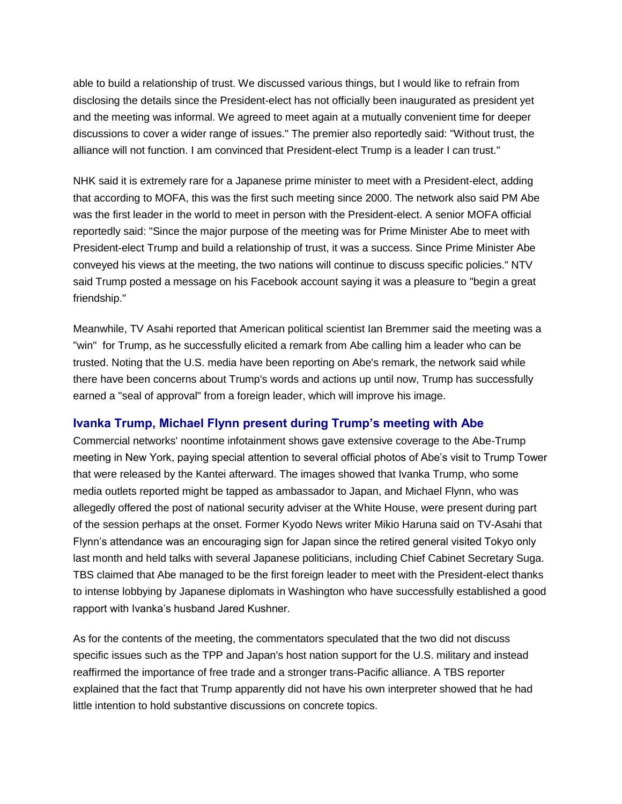able to build a relationship of trust. We discussed various things, but I would like to refrain from disclosing the details since the President-elect has not officially been inaugurated as president yet and the meeting was informal. We agreed to meet again at a mutually convenient time for deeper discussions to cover a wider range of issues." The premier also reportedly said: "Without trust, the alliance will not function. I am convinced that President-elect Trump is a leader I can trust."

NHK said it is extremely rare for a Japanese prime minister to meet with a President-elect, adding that according to MOFA, this was the first such meeting since 2000. The network also said PM Abe was the first leader in the world to meet in person with the President-elect. A senior MOFA official reportedly said: "Since the major purpose of the meeting was for Prime Minister Abe to meet with President-elect Trump and build a relationship of trust, it was a success. Since Prime Minister Abe conveyed his views at the meeting, the two nations will continue to discuss specific policies." NTV said Trump posted a message on his Facebook account saying it was a pleasure to "begin a great friendship."

Meanwhile, TV Asahi reported that American political scientist Ian Bremmer said the meeting was a "win" for Trump, as he successfully elicited a remark from Abe calling him a leader who can be trusted. Noting that the U.S. media have been reporting on Abe's remark, the network said while there have been concerns about Trump's words and actions up until now, Trump has successfully earned a "seal of approval" from a foreign leader, which will improve his image.

## **Ivanka Trump, Michael Flynn present during Trump's meeting with Abe**

Commercial networks' noontime infotainment shows gave extensive coverage to the Abe-Trump meeting in New York, paying special attention to several official photos of Abe's visit to Trump Tower that were released by the Kantei afterward. The images showed that Ivanka Trump, who some media outlets reported might be tapped as ambassador to Japan, and Michael Flynn, who was allegedly offered the post of national security adviser at the White House, were present during part of the session perhaps at the onset. Former Kyodo News writer Mikio Haruna said on TV-Asahi that Flynn's attendance was an encouraging sign for Japan since the retired general visited Tokyo only last month and held talks with several Japanese politicians, including Chief Cabinet Secretary Suga. TBS claimed that Abe managed to be the first foreign leader to meet with the President-elect thanks to intense lobbying by Japanese diplomats in Washington who have successfully established a good rapport with Ivanka's husband Jared Kushner.

As for the contents of the meeting, the commentators speculated that the two did not discuss specific issues such as the TPP and Japan's host nation support for the U.S. military and instead reaffirmed the importance of free trade and a stronger trans-Pacific alliance. A TBS reporter explained that the fact that Trump apparently did not have his own interpreter showed that he had little intention to hold substantive discussions on concrete topics.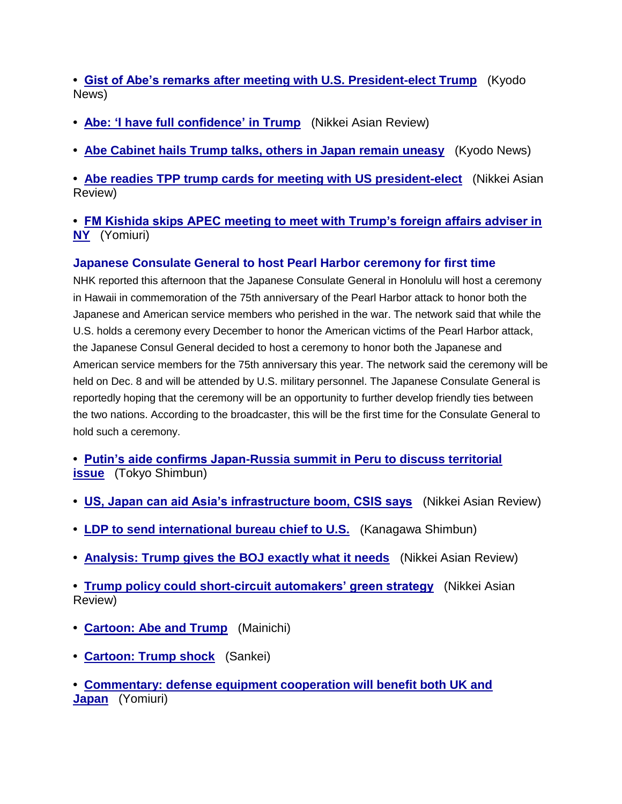**• [Gist of Abe's remarks after meeting with U.S. President-elect Trump](https://jmh.usembassy.gov/2016111810017/)** (Kyodo News)

- **• [Abe: 'I have full confidence' in Trump](https://jmh.usembassy.gov/2016111810019/)** (Nikkei Asian Review)
- **• [Abe Cabinet hails Trump talks, others in Japan remain uneasy](https://jmh.usembassy.gov/2016111810033/)** (Kyodo News)

**• [Abe readies TPP trump cards for meeting with US president-elect](https://jmh.usembassy.gov/201611189959/)** (Nikkei Asian Review)

## **• [FM Kishida skips APEC meeting to meet with Trump's foreign affairs adviser in](https://jmh.usembassy.gov/201611189960/)  [NY](https://jmh.usembassy.gov/201611189960/)** (Yomiuri)

# **Japanese Consulate General to host Pearl Harbor ceremony for first time**

NHK reported this afternoon that the Japanese Consulate General in Honolulu will host a ceremony in Hawaii in commemoration of the 75th anniversary of the Pearl Harbor attack to honor both the Japanese and American service members who perished in the war. The network said that while the U.S. holds a ceremony every December to honor the American victims of the Pearl Harbor attack, the Japanese Consul General decided to host a ceremony to honor both the Japanese and American service members for the 75th anniversary this year. The network said the ceremony will be held on Dec. 8 and will be attended by U.S. military personnel. The Japanese Consulate General is reportedly hoping that the ceremony will be an opportunity to further develop friendly ties between the two nations. According to the broadcaster, this will be the first time for the Consulate General to hold such a ceremony.

**• [Putin's aide confirms Japan-Russia summit in Peru to discuss territorial](https://jmh.usembassy.gov/201611189963/)  [issue](https://jmh.usembassy.gov/201611189963/)** (Tokyo Shimbun)

- **• [US, Japan can aid Asia's infrastructure boom, CSIS says](https://jmh.usembassy.gov/2016111810040/)** (Nikkei Asian Review)
- **• [LDP to send international bureau chief to U.S.](https://jmh.usembassy.gov/201611189986/)** (Kanagawa Shimbun)
- **• [Analysis: Trump gives the BOJ exactly what it needs](https://jmh.usembassy.gov/201611189980/)** (Nikkei Asian Review)

**• [Trump policy could short-circuit automakers' green strategy](https://jmh.usembassy.gov/201611189973/)** (Nikkei Asian Review)

- **• [Cartoon: Abe and Trump](https://jmh.usembassy.gov/201611189982/)** (Mainichi)
- **• [Cartoon: Trump shock](https://jmh.usembassy.gov/201611189988/)** (Sankei)
- **• [Commentary: defense equipment cooperation will benefit both UK and](https://jmh.usembassy.gov/201611189936/)  [Japan](https://jmh.usembassy.gov/201611189936/)** (Yomiuri)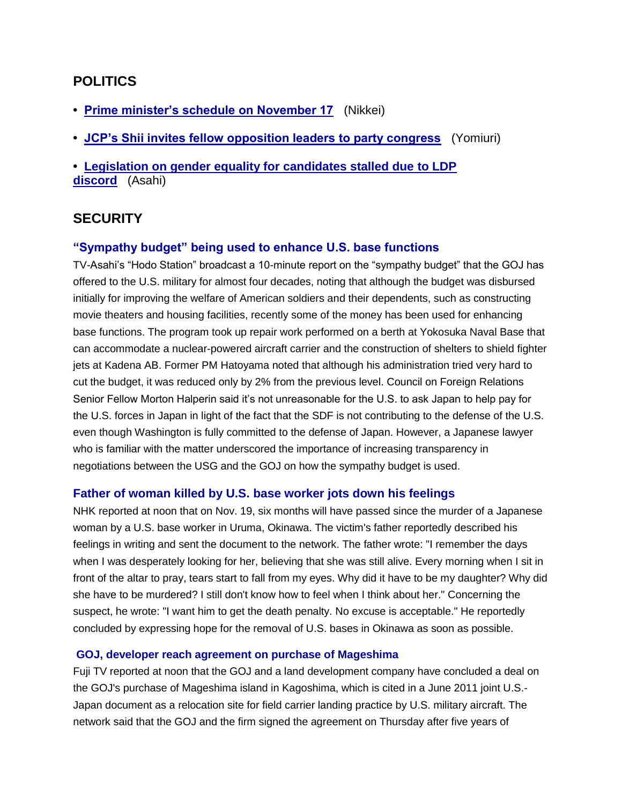# **POLITICS**

- **• [Prime minister's schedule on November 17](https://jmh.usembassy.gov/201611189961/)** (Nikkei)
- **• [JCP's Shii invites fellow opposition leaders to party congress](https://jmh.usembassy.gov/201611189964/)** (Yomiuri)
- **• [Legislation on gender equality for candidates stalled due](https://jmh.usembassy.gov/2016111810016/) to LDP [discord](https://jmh.usembassy.gov/2016111810016/)** (Asahi)

# **SECURITY**

## **"Sympathy budget" being used to enhance U.S. base functions**

TV-Asahi's "Hodo Station" broadcast a 10-minute report on the "sympathy budget" that the GOJ has offered to the U.S. military for almost four decades, noting that although the budget was disbursed initially for improving the welfare of American soldiers and their dependents, such as constructing movie theaters and housing facilities, recently some of the money has been used for enhancing base functions. The program took up repair work performed on a berth at Yokosuka Naval Base that can accommodate a nuclear-powered aircraft carrier and the construction of shelters to shield fighter jets at Kadena AB. Former PM Hatoyama noted that although his administration tried very hard to cut the budget, it was reduced only by 2% from the previous level. Council on Foreign Relations Senior Fellow Morton Halperin said it's not unreasonable for the U.S. to ask Japan to help pay for the U.S. forces in Japan in light of the fact that the SDF is not contributing to the defense of the U.S. even though Washington is fully committed to the defense of Japan. However, a Japanese lawyer who is familiar with the matter underscored the importance of increasing transparency in negotiations between the USG and the GOJ on how the sympathy budget is used.

#### **Father of woman killed by U.S. base worker jots down his feelings**

NHK reported at noon that on Nov. 19, six months will have passed since the murder of a Japanese woman by a U.S. base worker in Uruma, Okinawa. The victim's father reportedly described his feelings in writing and sent the document to the network. The father wrote: "I remember the days when I was desperately looking for her, believing that she was still alive. Every morning when I sit in front of the altar to pray, tears start to fall from my eyes. Why did it have to be my daughter? Why did she have to be murdered? I still don't know how to feel when I think about her." Concerning the suspect, he wrote: "I want him to get the death penalty. No excuse is acceptable." He reportedly concluded by expressing hope for the removal of U.S. bases in Okinawa as soon as possible.

#### **GOJ, developer reach agreement on purchase of Mageshima**

Fuji TV reported at noon that the GOJ and a land development company have concluded a deal on the GOJ's purchase of Mageshima island in Kagoshima, which is cited in a June 2011 joint U.S.- Japan document as a relocation site for field carrier landing practice by U.S. military aircraft. The network said that the GOJ and the firm signed the agreement on Thursday after five years of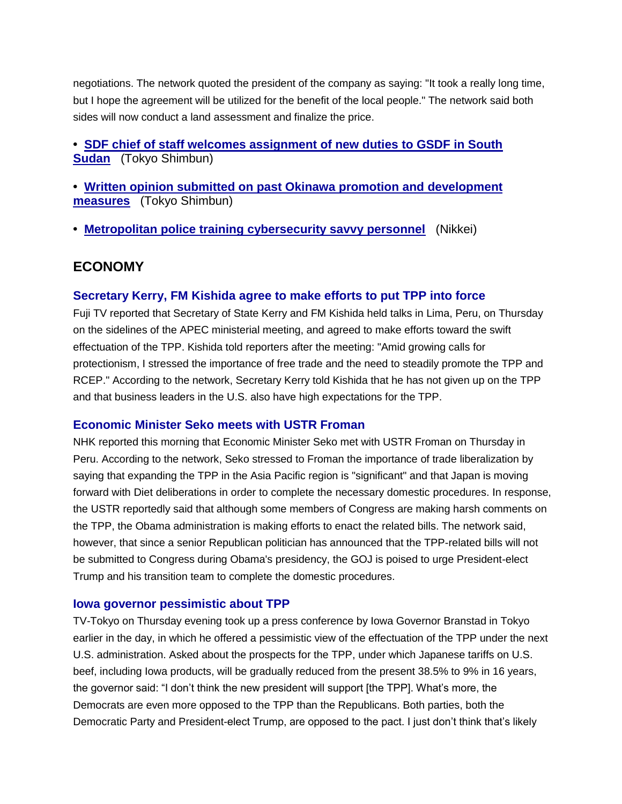negotiations. The network quoted the president of the company as saying: "It took a really long time, but I hope the agreement will be utilized for the benefit of the local people." The network said both sides will now conduct a land assessment and finalize the price.

## **• [SDF chief of staff welcomes assignment of new duties to GSDF in South](https://jmh.usembassy.gov/2016111810014/)  [Sudan](https://jmh.usembassy.gov/2016111810014/)** (Tokyo Shimbun)

**• [Written opinion submitted on past Okinawa promotion and development](https://jmh.usembassy.gov/2016111810021/)  [measures](https://jmh.usembassy.gov/2016111810021/)** (Tokyo Shimbun)

**• [Metropolitan police training cybersecurity savvy personnel](https://jmh.usembassy.gov/201611189957/)** (Nikkei)

# **ECONOMY**

## **Secretary Kerry, FM Kishida agree to make efforts to put TPP into force**

Fuji TV reported that Secretary of State Kerry and FM Kishida held talks in Lima, Peru, on Thursday on the sidelines of the APEC ministerial meeting, and agreed to make efforts toward the swift effectuation of the TPP. Kishida told reporters after the meeting: "Amid growing calls for protectionism, I stressed the importance of free trade and the need to steadily promote the TPP and RCEP." According to the network, Secretary Kerry told Kishida that he has not given up on the TPP and that business leaders in the U.S. also have high expectations for the TPP.

#### **Economic Minister Seko meets with USTR Froman**

NHK reported this morning that Economic Minister Seko met with USTR Froman on Thursday in Peru. According to the network, Seko stressed to Froman the importance of trade liberalization by saying that expanding the TPP in the Asia Pacific region is "significant" and that Japan is moving forward with Diet deliberations in order to complete the necessary domestic procedures. In response, the USTR reportedly said that although some members of Congress are making harsh comments on the TPP, the Obama administration is making efforts to enact the related bills. The network said, however, that since a senior Republican politician has announced that the TPP-related bills will not be submitted to Congress during Obama's presidency, the GOJ is poised to urge President-elect Trump and his transition team to complete the domestic procedures.

#### **Iowa governor pessimistic about TPP**

TV-Tokyo on Thursday evening took up a press conference by Iowa Governor Branstad in Tokyo earlier in the day, in which he offered a pessimistic view of the effectuation of the TPP under the next U.S. administration. Asked about the prospects for the TPP, under which Japanese tariffs on U.S. beef, including Iowa products, will be gradually reduced from the present 38.5% to 9% in 16 years, the governor said: "I don't think the new president will support [the TPP]. What's more, the Democrats are even more opposed to the TPP than the Republicans. Both parties, both the Democratic Party and President-elect Trump, are opposed to the pact. I just don't think that's likely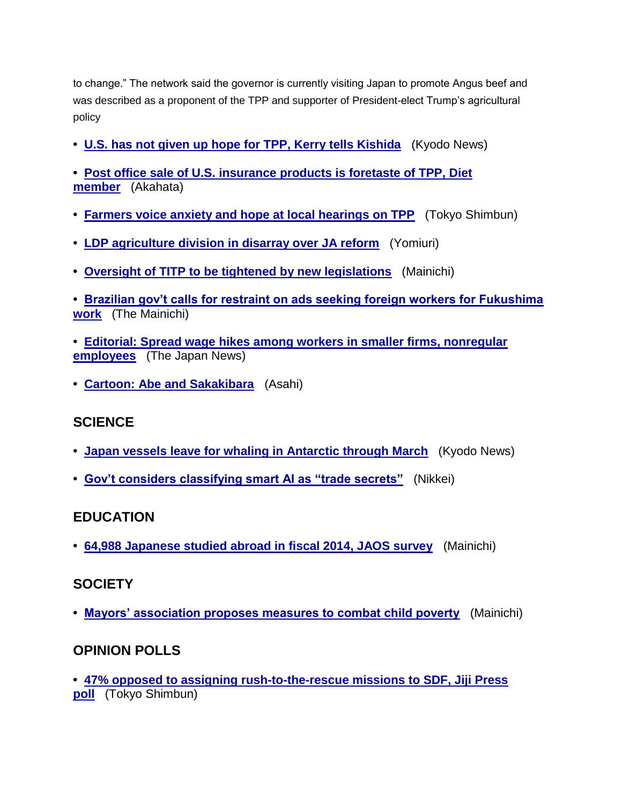to change." The network said the governor is currently visiting Japan to promote Angus beef and was described as a proponent of the TPP and supporter of President-elect Trump's agricultural policy

- **• [U.S. has not given up hope for TPP, Kerry tells Kishida](https://jmh.usembassy.gov/201611189956/)** (Kyodo News)
- **• [Post office sale of U.S. insurance products is foretaste of TPP, Diet](https://jmh.usembassy.gov/2016111810025/)  [member](https://jmh.usembassy.gov/2016111810025/)** (Akahata)
- **• [Farmers voice anxiety and hope at local hearings on TPP](https://jmh.usembassy.gov/2016111810047/)** (Tokyo Shimbun)
- **• [LDP agriculture division in disarray over JA reform](https://jmh.usembassy.gov/201611189971/)** (Yomiuri)
- **• [Oversight of TITP to be tightened by new legislations](https://jmh.usembassy.gov/2016111810011/)** (Mainichi)
- **• [Brazilian gov't calls for restraint on ads seeking foreign workers for Fukushima](https://jmh.usembassy.gov/2016111810037/)  [work](https://jmh.usembassy.gov/2016111810037/)** (The Mainichi)
- **• [Editorial: Spread wage hikes among workers in smaller firms, nonregular](https://jmh.usembassy.gov/201611189955/)  [employees](https://jmh.usembassy.gov/201611189955/)** (The Japan News)
- **• [Cartoon: Abe and Sakakibara](https://jmh.usembassy.gov/201611189977/)** (Asahi)

# **SCIENCE**

- **• [Japan vessels leave for whaling in Antarctic through March](https://jmh.usembassy.gov/2016111810015/)** (Kyodo News)
- **• [Gov't considers classifying smart AI as "trade secrets"](https://jmh.usembassy.gov/201611189860/)** (Nikkei)

## **EDUCATION**

**• [64,988 Japanese studied abroad in fiscal 2014, JAOS survey](https://jmh.usembassy.gov/2016111810004/)** (Mainichi)

# **SOCIETY**

**• [Mayors' association proposes measures to combat child poverty](https://jmh.usembassy.gov/201611189972/)** (Mainichi)

# **OPINION POLLS**

**• [47% opposed to assigning rush-to-the-rescue missions to SDF, Jiji Press](https://jmh.usembassy.gov/201611189968/)  [poll](https://jmh.usembassy.gov/201611189968/)** (Tokyo Shimbun)